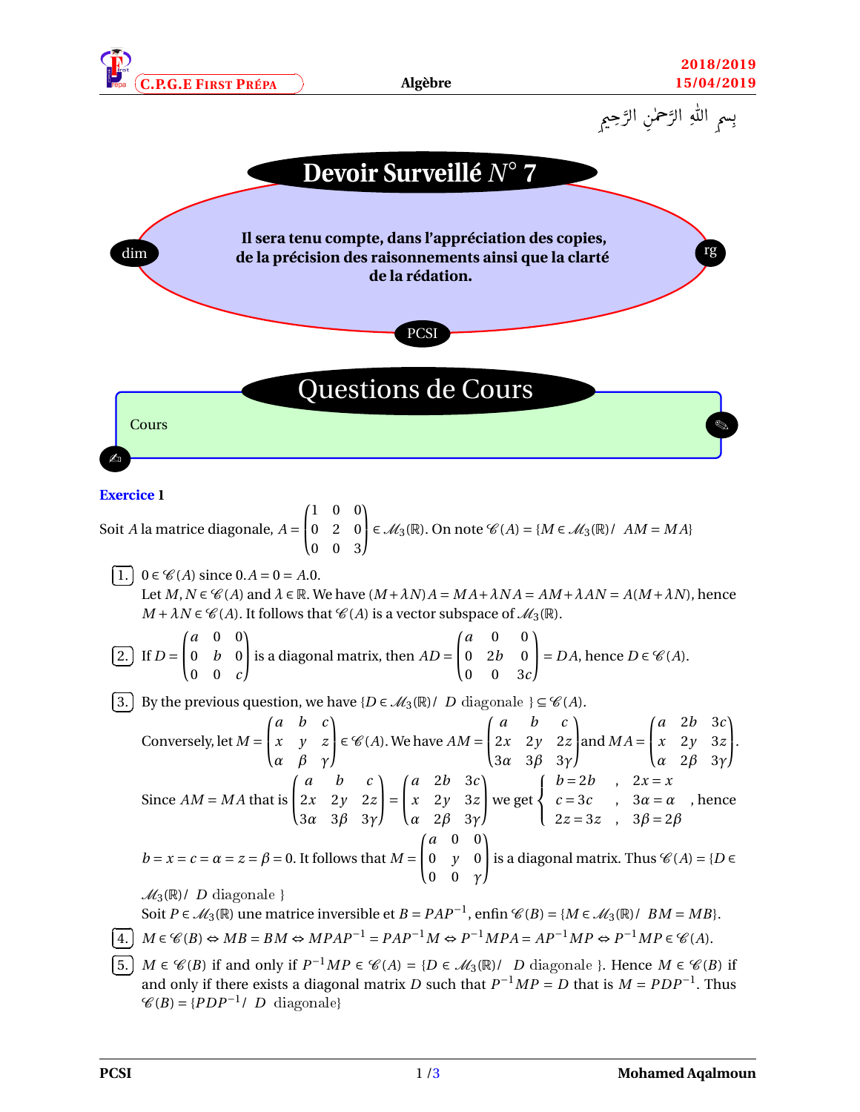





## **Exercice 1**

Soit *A* la matrice diagonale, *A* =  $\sqrt{ }$ I 1 0 0 0 2 0 0 0 3 Ι  $\epsilon \mathcal{M}_3(\mathbb{R})$ . On note  $\mathcal{C}(A) = \{M \in \mathcal{M}_3(\mathbb{R}) \mid AM = MA\}$ ✄  $\overline{a}$ ĺ. 1. 0 ∈  $\mathcal{C}(A)$  since 0.*A* = 0 = *A*.0. Let  $M, N \in \mathcal{C}(A)$  and  $\lambda \in \mathbb{R}$ . We have  $(M + \lambda N)A = MA + \lambda NA = AM + \lambda AN = A(M + \lambda N)$ , hence  $M + \lambda N \in \mathcal{C}(A)$ . It follows that  $\mathcal{C}(A)$  is a vector subspace of  $\mathcal{M}_3(\mathbb{R})$ . ✄  $\overline{a}$ ĺ.  $\boxed{2}$ . If  $D =$  $\sqrt{ }$ L *a* 0 0 0 *b* 0 0 0 *c* Ι  $\int$  is a diagonal matrix, then  $AD =$  $\sqrt{ }$ L *a* 0 0 0 2*b* 0 0 0 3*c* Ι  $= DA$ , hence *D*  $\in \mathcal{C}(A)$ . ✄  $\overline{a}$ 3. By the previous question, we have  $\{D \in \mathcal{M}_3(\mathbb{R})/|D|\}$  diagonale  $\} \subseteq \mathscr{C}(A)$ . ✁ Conversely, let *M* =  $\sqrt{ }$ L *a b c x y z α β γ* Ι  $\epsilon \mathcal{C}(A)$ . We have  $AM =$  $\sqrt{ }$ L *a b c* 2*x* 2*y* 2*z* 3*α* 3*β* 3*γ* Ι  $\int$  and *MA* =  $\sqrt{ }$ L *a* 2*b* 3*c x* 2*y* 3*z α* 2*β* 3*γ* Ι  $\vert \cdot$ Since  $AM = MA$  that is  $\sqrt{ }$ L *a b c* 2*x* 2*y* 2*z* 3*α* 3*β* 3*γ* Ι  $\vert$  =  $\sqrt{ }$ I *a* 2*b* 3*c x* 2*y* 3*z α* 2*β* 3*γ* Ι we get  $\sqrt{ }$ J  $\mathcal{L}$  $b = 2b$ ,  $2x = x$  $c = 3c$  ,  $3\alpha = \alpha$ 2*z* = 3*z* , 3*β* = 2*β* , hence  $b = x = c = \alpha = z = \beta = 0$ . It follows that  $M =$  $\sqrt{ }$ I *a* 0 0 0 *y* 0 0 0 *γ* Ι is a diagonal matrix. Thus  $\mathcal{C}(A) = \{D \in$  $\mathcal{M}_3(\mathbb{R})$  / *D* diagonale } Soit *P* ∈  $\mathcal{M}_3(\mathbb{R})$  une matrice inversible et *B* = *PAP*<sup>-1</sup>, enfin  $\mathcal{C}(B) = \{M \in \mathcal{M}_3(\mathbb{R}) \mid BM = MB\}.$ ✄  $\overline{a}$ ĺ.  $\underline{4.}$  *M* ∈  $\mathcal{C}(B)$  ⇔ *MB* = *BM* ⇔ *MPAP*<sup>-1</sup> = *PAP*<sup>-1</sup>*M* ⇔ *P*<sup>-1</sup>*MPA* = *AP*<sup>-1</sup>*MP* ⇔ *P*<sup>-1</sup>*MP* ∈  $\mathcal{C}(A)$ . ✄  $\overline{a}$ ĺ. 5.  $M \in \mathcal{C}(B)$  if and only if  $P^{-1}MP \in \mathcal{C}(A) = \{D \in \mathcal{M}_3(\mathbb{R})/|D| \text{ diagonale }\}$ . Hence  $M \in \mathcal{C}(B)$  if and only if there exists a diagonal matrix *D* such that  $P^{-1}MP = D$  that is  $M = PDP^{-1}$ . Thus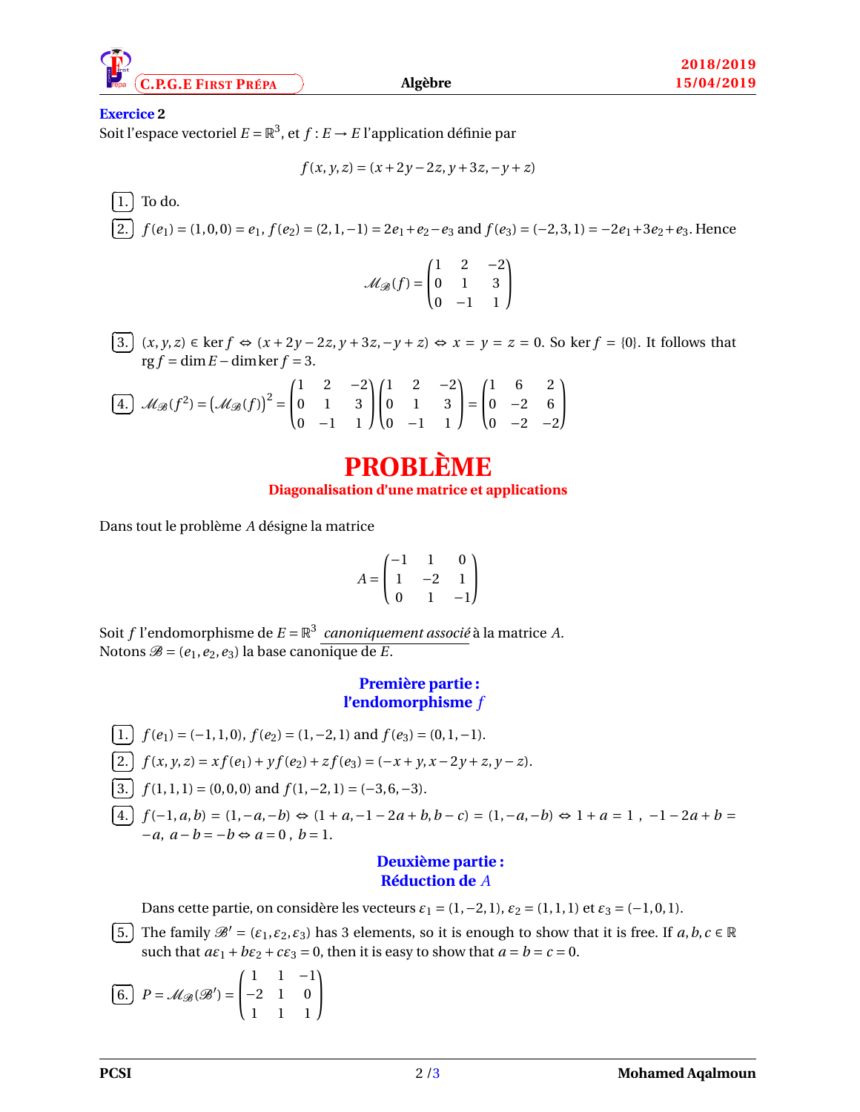

## **Exercice 2**

Soit l'espace vectoriel  $E = \mathbb{R}^3$ , et  $f : E \to E$  l'application définie par

$$
f(x, y, z) = (x + 2y - 2z, y + 3z, -y + z)
$$

✄  $\overline{a}$ ĺ. <u>1.</u> To do. ✄  $\overline{a}$ 2.  $f(e_1) = (1, 0, 0) = e_1, f(e_2) = (2, 1, -1) = 2e_1 + e_2 - e_3$  and  $f(e_3) = (-2, 3, 1) = -2e_1 + 3e_2 + e_3$ . Hence ✁

$$
\mathcal{M}_{\mathcal{B}}(f) = \begin{pmatrix} 1 & 2 & -2 \\ 0 & 1 & 3 \\ 0 & -1 & 1 \end{pmatrix}
$$

✄  $\overline{a}$ ĺ. 3.  $(x, y, z) \in \ker f \Leftrightarrow (x + 2y - 2z, y + 3z, -y + z) \Leftrightarrow x = y = z = 0$ . So ker *f* = {0}. It follows that  $\text{rg } f = \dim E - \dim \ker f = 3.$ 

$$
\boxed{4.} \quad \mathcal{M}_{\mathcal{B}}(f^2) = \left(\mathcal{M}_{\mathcal{B}}(f)\right)^2 = \begin{pmatrix} 1 & 2 & -2 \\ 0 & 1 & 3 \\ 0 & -1 & 1 \end{pmatrix} \begin{pmatrix} 1 & 2 & -2 \\ 0 & 1 & 3 \\ 0 & -1 & 1 \end{pmatrix} = \begin{pmatrix} 1 & 6 & 2 \\ 0 & -2 & 6 \\ 0 & -2 & -2 \end{pmatrix}
$$

# **PROBLÈME Diagonalisation d'une matrice et applications**

Dans tout le problème *A* désigne la matrice

$$
A=\begin{pmatrix} -1 & 1 & 0 \\ 1 & -2 & 1 \\ 0 & 1 & -1 \end{pmatrix}
$$

Soit *f* l'endomorphisme de *E* = R 3 *canoniquement associé* à la matrice *A*. Notons  $\mathcal{B} = (e_1, e_2, e_3)$  la base canonique de *E*.

## **Première partie : l'endomorphisme** *f*

\n- $$
[1. \, f(e_1) = (-1, 1, 0), f(e_2) = (1, -2, 1)
$$
 and  $f(e_3) = (0, 1, -1)$ .
\n- $[2. \, f(x, y, z) = x f(e_1) + y f(e_2) + z f(e_3) = (-x + y, x - 2y + z, y - z)$ .
\n- $[3. \, f(1, 1, 1) = (0, 0, 0)$  and  $f(1, -2, 1) = (-3, 6, -3)$ .
\n- $[4. \, f(-1, a, b) = (1, -a, -b) \Leftrightarrow (1 + a, -1 - 2a + b, b - c) = (1, -a, -b) \Leftrightarrow 1 + a = 1, -1 - 2a + b = -a, a - b = -b \Leftrightarrow a = 0, b = 1.$
\n

## **Deuxième partie : Réduction de** *A*

Dans cette partie, on considère les vecteurs  $\varepsilon_1 = (1, -2, 1)$ ,  $\varepsilon_2 = (1, 1, 1)$  et  $\varepsilon_3 = (-1, 0, 1)$ .

✄  $\overline{a}$ ĺ. 5. The family  $\mathcal{B}' = (\varepsilon_1, \varepsilon_2, \varepsilon_3)$  has 3 elements, so it is enough to show that it is free. If  $a, b, c \in \mathbb{R}$ such that  $a\epsilon_1 + b\epsilon_2 + c\epsilon_3 = 0$ , then it is easy to show that  $a = b = c = 0$ .

✄  $\overline{a}$ ĺ. 6.  $P = M_{\mathscr{B}}(\mathscr{B}') =$  $\sqrt{ }$ t 1 1 −1 −2 1 0 1 1 1 Ι  $\overline{1}$